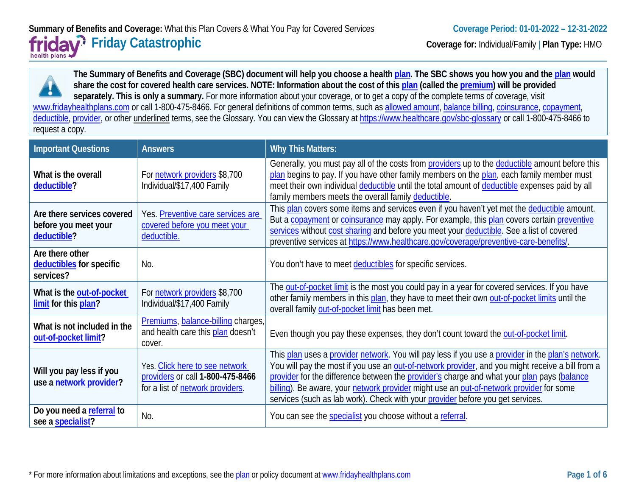**The Summary of Benefits and Coverage (SBC) document will help you choose a health [plan.](https://www.healthcare.gov/sbc-glossary/#plan) The SBC shows you how you and the [plan](https://www.healthcare.gov/sbc-glossary/#plan) would share the cost for covered health care services. NOTE: Information about the cost of this [plan](https://www.healthcare.gov/sbc-glossary/#plan) (called the [premium\)](https://www.healthcare.gov/sbc-glossary/#premium) will be provided**  separately. This is only a summary. For more information about your coverage, or to get a copy of the complete terms of coverage, visit [www.fridayhealthplans.com](http://www.fridayhealthplans.com/) or call 1-800-475-8466. For general definitions of common terms, such as [allowed amount,](https://www.healthcare.gov/sbc-glossary/#allowed-amount) [balance billing,](https://www.healthcare.gov/sbc-glossary/#balance-billing) [coinsurance,](https://www.healthcare.gov/sbc-glossary/#coinsurance) [copayment,](https://www.healthcare.gov/sbc-glossary/#copayment) [deductible,](https://www.healthcare.gov/sbc-glossary/#deductible) [provider,](https://www.healthcare.gov/sbc-glossary/#provider) or other underlined terms, see the Glossary. You can view the Glossary at<https://www.healthcare.gov/sbc-glossary> or call 1-800-475-8466 to request a copy.

| <b>Important Questions</b>                                        | <b>Answers</b>                                                                                         | <b>Why This Matters:</b>                                                                                                                                                                                                                                                                                                                                                                                                                                                         |
|-------------------------------------------------------------------|--------------------------------------------------------------------------------------------------------|----------------------------------------------------------------------------------------------------------------------------------------------------------------------------------------------------------------------------------------------------------------------------------------------------------------------------------------------------------------------------------------------------------------------------------------------------------------------------------|
| What is the overall<br>deductible?                                | For network providers \$8,700<br>Individual/\$17,400 Family                                            | Generally, you must pay all of the costs from providers up to the deductible amount before this<br>plan begins to pay. If you have other family members on the plan, each family member must<br>meet their own individual deductible until the total amount of deductible expenses paid by all<br>family members meets the overall family deductible.                                                                                                                            |
| Are there services covered<br>before you meet your<br>deductible? | Yes. Preventive care services are<br>covered before you meet your<br>deductible.                       | This plan covers some items and services even if you haven't yet met the deductible amount.<br>But a copayment or coinsurance may apply. For example, this plan covers certain preventive<br>services without cost sharing and before you meet your deductible. See a list of covered<br>preventive services at https://www.healthcare.gov/coverage/preventive-care-benefits/.                                                                                                   |
| Are there other<br>deductibles for specific<br>services?          | No.                                                                                                    | You don't have to meet deductibles for specific services.                                                                                                                                                                                                                                                                                                                                                                                                                        |
| What is the out-of-pocket<br>limit for this plan?                 | For network providers \$8,700<br>Individual/\$17,400 Family                                            | The out-of-pocket limit is the most you could pay in a year for covered services. If you have<br>other family members in this plan, they have to meet their own out-of-pocket limits until the<br>overall family out-of-pocket limit has been met.                                                                                                                                                                                                                               |
| What is not included in the<br>out-of-pocket limit?               | Premiums, balance-billing charges,<br>and health care this plan doesn't<br>cover.                      | Even though you pay these expenses, they don't count toward the out-of-pocket limit.                                                                                                                                                                                                                                                                                                                                                                                             |
| Will you pay less if you<br>use a network provider?               | Yes. Click here to see network<br>providers or call 1-800-475-8466<br>for a list of network providers. | This plan uses a provider network. You will pay less if you use a provider in the plan's network.<br>You will pay the most if you use an out-of-network provider, and you might receive a bill from a<br>provider for the difference between the provider's charge and what your plan pays (balance<br>billing). Be aware, your network provider might use an out-of-network provider for some<br>services (such as lab work). Check with your provider before you get services. |
| Do you need a referral to<br>see a specialist?                    | No.                                                                                                    | You can see the specialist you choose without a referral.                                                                                                                                                                                                                                                                                                                                                                                                                        |

\* For more information about limitations and exceptions, see th[e plan](https://www.healthcare.gov/sbc-glossary/#plan) or policy document a[t www.fridayhealthplans.com](http://www.fridayhealthplans.com/) **Page 1 of 6**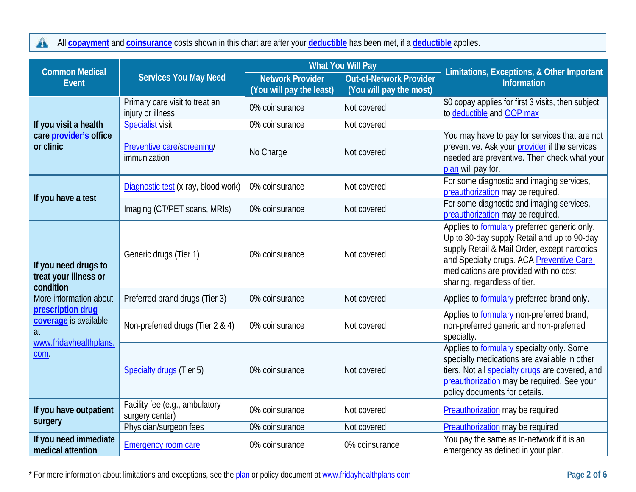All **[copayment](https://www.healthcare.gov/sbc-glossary/#copayment)** and **[coinsurance](https://www.healthcare.gov/sbc-glossary/#coinsurance)** costs shown in this chart are after your **[deductible](https://www.healthcare.gov/sbc-glossary/#deductible)** has been met, if a **[deductible](https://www.healthcare.gov/sbc-glossary/#deductible)** applies.  $\blacktriangle$ 

| <b>Common Medical</b>                                                                   |                                                     | <b>What You Will Pay</b>                            |                                                    | Limitations, Exceptions, & Other Important                                                                                                                                                                                                                       |  |
|-----------------------------------------------------------------------------------------|-----------------------------------------------------|-----------------------------------------------------|----------------------------------------------------|------------------------------------------------------------------------------------------------------------------------------------------------------------------------------------------------------------------------------------------------------------------|--|
| <b>Event</b>                                                                            | <b>Services You May Need</b>                        | <b>Network Provider</b><br>(You will pay the least) | Out-of-Network Provider<br>(You will pay the most) | <b>Information</b>                                                                                                                                                                                                                                               |  |
|                                                                                         | Primary care visit to treat an<br>injury or illness | 0% coinsurance                                      | Not covered                                        | \$0 copay applies for first 3 visits, then subject<br>to deductible and OOP max                                                                                                                                                                                  |  |
| If you visit a health                                                                   | <b>Specialist visit</b>                             | 0% coinsurance                                      | Not covered                                        |                                                                                                                                                                                                                                                                  |  |
| care provider's office<br>or clinic                                                     | Preventive care/screening/<br>immunization          | No Charge                                           | Not covered                                        | You may have to pay for services that are not<br>preventive. Ask your provider if the services<br>needed are preventive. Then check what your<br>plan will pay for.                                                                                              |  |
| If you have a test                                                                      | Diagnostic test (x-ray, blood work)                 | 0% coinsurance                                      | Not covered                                        | For some diagnostic and imaging services,<br>preauthorization may be required.                                                                                                                                                                                   |  |
|                                                                                         | Imaging (CT/PET scans, MRIs)                        | 0% coinsurance                                      | Not covered                                        | For some diagnostic and imaging services,<br>preauthorization may be required.                                                                                                                                                                                   |  |
| If you need drugs to<br>treat your illness or<br>condition                              | Generic drugs (Tier 1)                              | 0% coinsurance                                      | Not covered                                        | Applies to formulary preferred generic only.<br>Up to 30-day supply Retail and up to 90-day<br>supply Retail & Mail Order, except narcotics<br>and Specialty drugs. ACA Preventive Care<br>medications are provided with no cost<br>sharing, regardless of tier. |  |
| More information about                                                                  | Preferred brand drugs (Tier 3)                      | 0% coinsurance                                      | Not covered                                        | Applies to formulary preferred brand only.                                                                                                                                                                                                                       |  |
| prescription drug<br>coverage is available<br>$\overline{at}$<br>www.fridayhealthplans. | Non-preferred drugs (Tier 2 & 4)                    | 0% coinsurance                                      | Not covered                                        | Applies to formulary non-preferred brand,<br>non-preferred generic and non-preferred<br>specialty.                                                                                                                                                               |  |
| com.                                                                                    | <b>Specialty drugs (Tier 5)</b>                     | 0% coinsurance                                      | Not covered                                        | Applies to formulary specialty only. Some<br>specialty medications are available in other<br>tiers. Not all specialty drugs are covered, and<br>preauthorization may be required. See your<br>policy documents for details.                                      |  |
| If you have outpatient<br>surgery                                                       | Facility fee (e.g., ambulatory<br>surgery center)   | 0% coinsurance                                      | Not covered                                        | Preauthorization may be required                                                                                                                                                                                                                                 |  |
|                                                                                         | Physician/surgeon fees                              | 0% coinsurance                                      | Not covered                                        | Preauthorization may be required                                                                                                                                                                                                                                 |  |
| If you need immediate<br>medical attention                                              | <b>Emergency room care</b>                          | 0% coinsurance                                      | 0% coinsurance                                     | You pay the same as In-network if it is an<br>emergency as defined in your plan.                                                                                                                                                                                 |  |

\* For more information about limitations and exceptions, see th[e plan](https://www.healthcare.gov/sbc-glossary/#plan) or policy document a[t www.fridayhealthplans.com](http://www.fridayhealthplans.com/) **Page 2 of 6**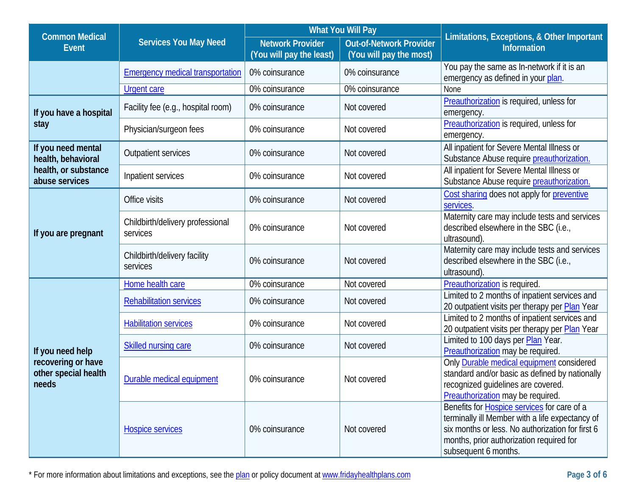| <b>Common Medical</b>                               |                                              | <b>What You Will Pay</b>                            |                                                           | Limitations, Exceptions, & Other Important                                                                                                                                                                                    |  |
|-----------------------------------------------------|----------------------------------------------|-----------------------------------------------------|-----------------------------------------------------------|-------------------------------------------------------------------------------------------------------------------------------------------------------------------------------------------------------------------------------|--|
| <b>Event</b>                                        | <b>Services You May Need</b>                 | <b>Network Provider</b><br>(You will pay the least) | <b>Out-of-Network Provider</b><br>(You will pay the most) | <b>Information</b>                                                                                                                                                                                                            |  |
|                                                     | <b>Emergency medical transportation</b>      | 0% coinsurance                                      | 0% coinsurance                                            | You pay the same as In-network if it is an<br>emergency as defined in your plan.                                                                                                                                              |  |
|                                                     | <b>Urgent care</b>                           | 0% coinsurance                                      | 0% coinsurance                                            | None                                                                                                                                                                                                                          |  |
| If you have a hospital                              | Facility fee (e.g., hospital room)           | 0% coinsurance                                      | Not covered                                               | Preauthorization is required, unless for<br>emergency.                                                                                                                                                                        |  |
| stay                                                | Physician/surgeon fees                       | 0% coinsurance                                      | Not covered                                               | Preauthorization is required, unless for<br>emergency.                                                                                                                                                                        |  |
| If you need mental<br>health, behavioral            | <b>Outpatient services</b>                   | 0% coinsurance                                      | Not covered                                               | All inpatient for Severe Mental Illness or<br>Substance Abuse require preauthorization.                                                                                                                                       |  |
| health, or substance<br>abuse services              | Inpatient services                           | 0% coinsurance                                      | Not covered                                               | All inpatient for Severe Mental Illness or<br>Substance Abuse require preauthorization.                                                                                                                                       |  |
|                                                     | Office visits                                | 0% coinsurance                                      | Not covered                                               | Cost sharing does not apply for preventive<br>services.                                                                                                                                                                       |  |
| If you are pregnant                                 | Childbirth/delivery professional<br>services | 0% coinsurance                                      | Not covered                                               | Maternity care may include tests and services<br>described elsewhere in the SBC (i.e.,<br>ultrasound).                                                                                                                        |  |
|                                                     | Childbirth/delivery facility<br>services     | 0% coinsurance                                      | Not covered                                               | Maternity care may include tests and services<br>described elsewhere in the SBC (i.e.,<br>ultrasound).                                                                                                                        |  |
|                                                     | Home health care                             | 0% coinsurance                                      | Not covered                                               | Preauthorization is required.                                                                                                                                                                                                 |  |
|                                                     | <b>Rehabilitation services</b>               | 0% coinsurance                                      | Not covered                                               | Limited to 2 months of inpatient services and<br>20 outpatient visits per therapy per Plan Year                                                                                                                               |  |
|                                                     | <b>Habilitation services</b>                 | 0% coinsurance                                      | Not covered                                               | Limited to 2 months of inpatient services and<br>20 outpatient visits per therapy per Plan Year                                                                                                                               |  |
| If you need help                                    | Skilled nursing care                         | 0% coinsurance                                      | Not covered                                               | Limited to 100 days per Plan Year.<br>Preauthorization may be required.                                                                                                                                                       |  |
| recovering or have<br>other special health<br>needs | Durable medical equipment                    | 0% coinsurance                                      | Not covered                                               | Only <b>Durable medical equipment</b> considered<br>standard and/or basic as defined by nationally<br>recognized guidelines are covered.<br>Preauthorization may be required.                                                 |  |
|                                                     | <b>Hospice services</b>                      | 0% coinsurance                                      | Not covered                                               | Benefits for <b>Hospice services</b> for care of a<br>terminally ill Member with a life expectancy of<br>six months or less. No authorization for first 6<br>months, prior authorization required for<br>subsequent 6 months. |  |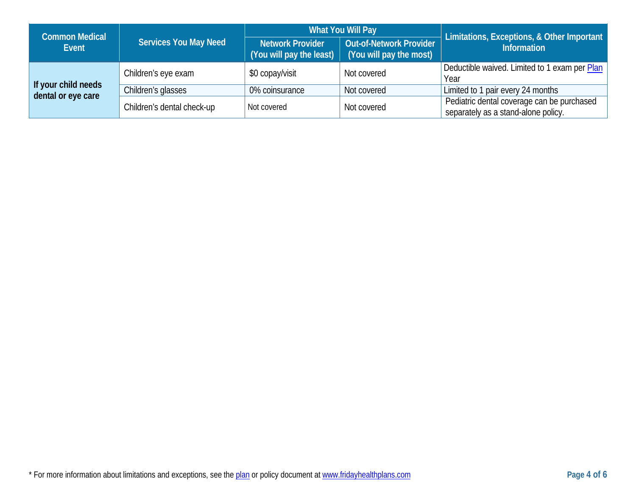| <b>Common Medical</b> | <b>Services You May Need</b> | What You Will Pay                                        |                                                           | Limitations, Exceptions, & Other Important                                        |
|-----------------------|------------------------------|----------------------------------------------------------|-----------------------------------------------------------|-----------------------------------------------------------------------------------|
| Event                 |                              | Network Provider<br>(You will pay the least) $\parallel$ | <b>Out-of-Network Provider</b><br>(You will pay the most) | <b>Information</b>                                                                |
|                       | Children's eye exam          | \$0 copay/visit                                          | Not covered                                               | Deductible waived. Limited to 1 exam per Plan<br>Year                             |
| If your child needs   | Children's glasses           | 0% coinsurance                                           | Not covered                                               | Limited to 1 pair every 24 months                                                 |
| dental or eye care    | Children's dental check-up   | Not covered                                              | Not covered                                               | Pediatric dental coverage can be purchased<br>separately as a stand-alone policy. |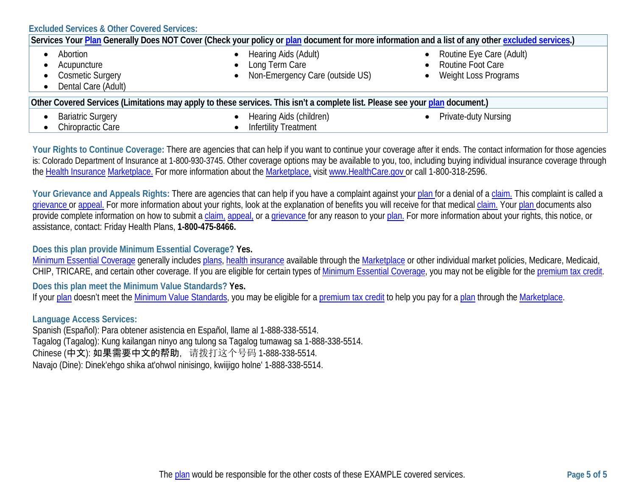| <b>Excluded Services &amp; Other Covered Services:</b>                                                                                           |                                                                                                                              |                                                                         |  |
|--------------------------------------------------------------------------------------------------------------------------------------------------|------------------------------------------------------------------------------------------------------------------------------|-------------------------------------------------------------------------|--|
| Services Your Plan Generally Does NOT Cover (Check your policy or plan document for more information and a list of any other excluded services.) |                                                                                                                              |                                                                         |  |
| Abortion<br>Acupuncture<br><b>Cosmetic Surgery</b><br>$\bullet$<br>Dental Care (Adult)                                                           | Hearing Aids (Adult)<br>Long Term Care<br>Non-Emergency Care (outside US)                                                    | Routine Eye Care (Adult)<br>• Routine Foot Care<br>Weight Loss Programs |  |
|                                                                                                                                                  | Other Covered Services (Limitations may apply to these services. This isn't a complete list. Please see your plan document.) |                                                                         |  |
| <b>Bariatric Surgery</b><br>Chiropractic Care                                                                                                    | Hearing Aids (children)<br><b>Infertility Treatment</b>                                                                      | Private-duty Nursing<br>$\bullet$                                       |  |

Your Rights to Continue Coverage: There are agencies that can help if you want to continue your coverage after it ends. The contact information for those agencies is: Colorado Department of Insurance at 1-800-930-3745. Other coverage options may be available to you, too, including buying individual insurance coverage through the [Health Insurance](https://www.healthcare.gov/sbc-glossary/#health-insurance) [Marketplace.](https://www.healthcare.gov/sbc-glossary/#marketplace) For more information about the [Marketplace,](https://www.healthcare.gov/sbc-glossary/#marketplace) visi[t www.HealthCare.gov](http://www.healthcare.gov/) or call 1-800-318-2596.

Your Grievance and Appeals Rights: There are agencies that can help if you have a complaint against your [plan](https://www.healthcare.gov/sbc-glossary/#plan) for a denial of a [claim.](https://www.healthcare.gov/sbc-glossary/#claim) This complaint is called a [grievance](https://www.healthcare.gov/sbc-glossary/#grievance) or [appeal.](https://www.healthcare.gov/sbc-glossary/#appeal) For more information about your rights, look at the explanation of benefits you will receive for that medical [claim.](https://www.healthcare.gov/sbc-glossary/#claim) Your [plan](https://www.healthcare.gov/sbc-glossary/#plan) documents also provide complete information on how to submit a [claim,](https://www.healthcare.gov/sbc-glossary/#claim) [appeal,](https://www.healthcare.gov/sbc-glossary/#appeal) or a [grievance](https://www.healthcare.gov/sbc-glossary/#grievance) for any reason to your [plan.](https://www.healthcare.gov/sbc-glossary/#plan) For more information about your rights, this notice, or assistance, contact: Friday Health Plans, **1-800-475-8466.**

### **Does this plan provide Minimum Essential Coverage? Yes.**

[Minimum Essential Coverage](https://www.healthcare.gov/sbc-glossary/#minimum-essential-coverage) generally include[s plans,](https://www.healthcare.gov/sbc-glossary/#plan) [health insurance](https://www.healthcare.gov/sbc-glossary/#health-insurance) available through the [Marketplace](https://www.healthcare.gov/sbc-glossary/#marketplace) or other individual market policies, Medicare, Medicaid, CHIP, TRICARE, and certain other coverage. If you are eligible for certain types of [Minimum Essential Coverage,](https://www.healthcare.gov/sbc-glossary/#minimum-essential-coverage) you may not be eligible for the [premium tax credit.](https://www.healthcare.gov/sbc-glossary/#premium-tax-credits)

**Does this plan meet the Minimum Value Standards? Yes.**

If you[r plan](https://www.healthcare.gov/sbc-glossary/#plan) doesn't meet the [Minimum Value Standards,](https://www.healthcare.gov/sbc-glossary/#minimum-value-standard) you may be eligible for [a premium tax credit](https://www.healthcare.gov/sbc-glossary/#premium-tax-credits) to help you pay for a [plan](https://www.healthcare.gov/sbc-glossary/#plan) through the [Marketplace.](https://www.healthcare.gov/sbc-glossary/#marketplace)

## **Language Access Services:**

Spanish (Español): Para obtener asistencia en Español, llame al 1-888-338-5514. Tagalog (Tagalog): Kung kailangan ninyo ang tulong sa Tagalog tumawag sa 1-888-338-5514. Chinese (中文): 如果需要中文的帮助, 请拨打这个号码 1-888-338-5514. Navajo (Dine): Dinek'ehgo shika at'ohwol ninisingo, kwiijigo holne' 1-888-338-5514.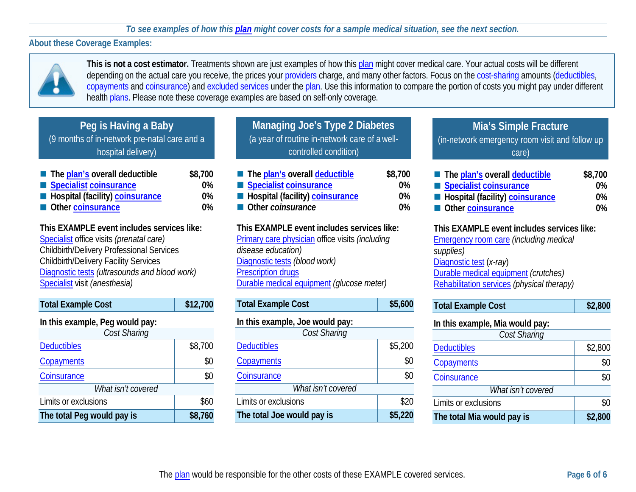*To see examples of how this [plan](https://www.healthcare.gov/sbc-glossary/#plan) might cover costs for a sample medical situation, see the next section.*

**About these Coverage Examples:**



**This is not a cost estimator.** Treatments shown are just examples of how this [plan](https://www.healthcare.gov/sbc-glossary/#plan) might cover medical care. Your actual costs will be different depending on the actual care you receive, the prices your [providers](https://www.healthcare.gov/sbc-glossary/#provider) charge, and many other factors. Focus on the [cost-sharing](https://www.healthcare.gov/sbc-glossary/#cost-sharing) amounts [\(deductibles,](https://www.healthcare.gov/sbc-glossary/#deductible) [copayments](https://www.healthcare.gov/sbc-glossary/#copayment) and [coinsurance\)](https://www.healthcare.gov/sbc-glossary/#coinsurance) and [excluded services](https://www.healthcare.gov/sbc-glossary/#excluded-services) under the [plan.](https://www.healthcare.gov/sbc-glossary/#plan) Use this information to compare the portion of costs you might pay under different health [plans.](https://www.healthcare.gov/sbc-glossary/#plan) Please note these coverage examples are based on self-only coverage.

# **Peg is Having a Baby** (9 months of in-network pre-natal care and a hospital delivery)

| The plan's overall deductible            | \$8,700 |
|------------------------------------------|---------|
| Specialist coinsurance                   | $0\%$   |
| <b>E</b> Hospital (facility) coinsurance | $0\%$   |
| Other coinsurance                        | $0\%$   |

**This EXAMPLE event includes services like:** [Specialist](https://www.healthcare.gov/sbc-glossary/#specialist) office visits *(prenatal care)* Childbirth/Delivery Professional Services Childbirth/Delivery Facility Services [Diagnostic tests](https://www.healthcare.gov/sbc-glossary/#diagnostic-test) *(ultrasounds and blood work)* [Specialist](https://www.healthcare.gov/sbc-glossary/#specialist) visit *(anesthesia)*

| <b>Total Example Cost</b>       | \$12,700 |  |
|---------------------------------|----------|--|
| In this example, Peg would pay: |          |  |
| Cost Sharing                    |          |  |
| <b>Deductibles</b>              | \$8,700  |  |
| Copayments                      | \$0      |  |
| Coinsurance                     | \$0      |  |
| What isn't covered              |          |  |
| Limits or exclusions            | \$60     |  |
| The total Peg would pay is      | \$8,760  |  |

**Managing Joe's Type 2 Diabetes**  (a year of routine in-network care of a wellcontrolled condition)

| The plan's overall deductible   | \$8,700 |
|---------------------------------|---------|
| Specialist coinsurance          | $0\%$   |
| Hospital (facility) coinsurance | $0\%$   |
| Other coinsurance               | 0%      |

**This EXAMPLE event includes services like:** [Primary care physician](https://www.healthcare.gov/sbc-glossary/#primary-care-physician) office visits *(including disease education)* [Diagnostic tests](https://www.healthcare.gov/sbc-glossary/#diagnostic-test) *(blood work)* [Prescription drugs](https://www.healthcare.gov/sbc-glossary/#prescription-drugs) [Durable medical equipment](https://www.healthcare.gov/sbc-glossary/#durable-medical-equipment) *(glucose meter)*

| <b>Total Example Cost</b>       | \$5,600 |
|---------------------------------|---------|
| In this example, Joe would pay: |         |
| Cost Sharing                    |         |
| <b>Deductibles</b>              | \$5,200 |
| Copayments                      | \$0     |
| Coinsurance                     | \$0     |
| What isn't covered              |         |
| Limits or exclusions            | \$20    |
| The total Joe would pay is      | \$5,220 |

# **Mia's Simple Fracture** (in-network emergency room visit and follow up care)

| The plan's overall deductible   | \$8,700 |
|---------------------------------|---------|
| Specialist coinsurance          | 0%      |
| Hospital (facility) coinsurance | $0\%$   |
| Other coinsurance               | $0\%$   |

## **This EXAMPLE event includes services like:**

[Emergency room care](https://www.healthcare.gov/sbc-glossary/#emergency-room-care-emergency-services) *(including medical supplies)* [Diagnostic test](https://www.healthcare.gov/sbc-glossary/#diagnostic-test) (*x-ray*) [Durable medical equipment](https://www.healthcare.gov/sbc-glossary/#durable-medical-equipment) *(crutches)* [Rehabilitation services](https://www.healthcare.gov/sbc-glossary/#rehabilitation-services) *(physical therapy)*

### **In this example, Mia would pay:**

| Cost Sharing               |         |  |
|----------------------------|---------|--|
| <b>Deductibles</b>         | \$2,800 |  |
| Copayments                 | \$0     |  |
| Coinsurance                | \$0     |  |
| What isn't covered         |         |  |
| Limits or exclusions       | \$0     |  |
| The total Mia would pay is | \$2,800 |  |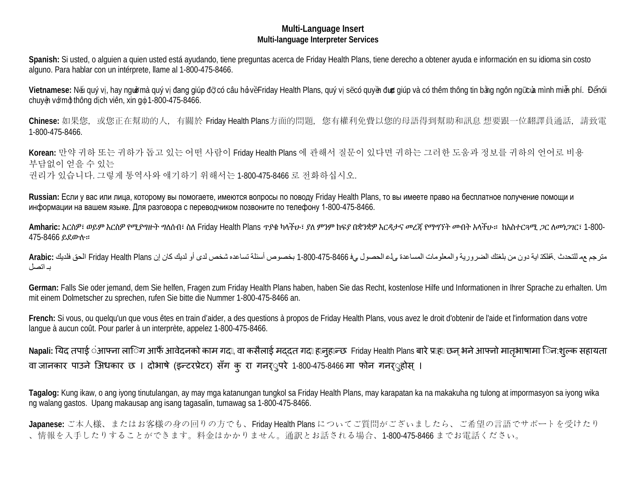#### **Multi-Language Insert Multi-language Interpreter Services**

**Spanish:** Si usted, o alguien a quien usted está ayudando, tiene preguntas acerca de Friday Health Plans, tiene derecho a obtener ayuda e información en su idioma sin costo alguno. Para hablar con un intérprete, llame al 1-800-475-8466.

Vietnamese: Nếu quý vị, hay ngườmà quý vị đang giúp đỡ có câu hỏ vềFriday Health Plans, quý vị sẽcó quyền được giúp và có thêm thông tin bằng ngôn ngữcủa mình miễn phí. Đểnói chuyện với một thông dịch viên, xin gọi 1-800-475-8466.

Chinese: 如果您, 或您正在幫助的人, 有關於 Friday Health Plans方面的問題, 您有權利免費以您的母語得到幫助和訊息 想要跟一位翻譯員通話, 請致電 1-800-475-8466.

**Korean:** 만약 귀하 또는 귀하가 돕고 있는 어떤 사람이 Friday Health Plans 에 관해서 질문이 있다면 귀하는 그러한 도움과 정보를 귀하의 언어로 비용 부담없이 얻을 수 있는 권리가 있습니다. 그렇게 통역사와 얘기하기 위해서는 1-800-475-8466 로 전화하십시오.

**Russian:** Если у вас или лица, которому вы помогаете, имеются вопросы по поводу Friday Health Plans, то вы имеете право на бесплатное получение помощи и информации на вашем языке. Для разговора с переводчиком позвоните по телефону 1-800-475-8466.

**Amharic:** እርስዎ፣ ወይም እርስዎ የሚያግዙት ግለሰብ፣ ስለ Friday Health Plans ጥያቄ ካላችሁ፣ ያለ ምንም ክፍያ በቋንቋዎ እርዳታና መረጃ የማግኘት መብት አላችሁ። ከአስተርጓሚ ጋር ለመነጋገር፣ 1-800- 475-8466 ይደውሉ።

مترجم عم للتحدث .ةفلكت ایة دون من بلغتك الضروریة والمعلومات المساعدة ىلع الحصول يف 1-800-475-8466 بخصوص أسئلة تساعده شخص لدى أو لدیك كان إن Plans Health Friday الحق فلدیك **:Arabic** بـ اتصل

**German:** Falls Sie oder jemand, dem Sie helfen, Fragen zum Friday Health Plans haben, haben Sie das Recht, kostenlose Hilfe und Informationen in Ihrer Sprache zu erhalten. Um mit einem Dolmetscher zu sprechen, rufen Sie bitte die Nummer 1-800-475-8466 an.

**French:** Si vous, ou quelqu'un que vous êtes en train d'aider, a des questions à propos de Friday Health Plans, vous avez le droit d'obtenir de l'aide et l'information dans votre langue à aucun coût. Pour parler à un interprète, appelez 1-800-475-8466.

Napali: यिद तपाई अाफ्ना ला**िग आफै आवेदनको काम गद**ा, वा कसैलाई मद्दत गदा हानुहान्छ Friday Health Plans बारे प्राहा छन् भने आफ्नो मातृभाषामा िन:शुल्क सहायता वा जानकार पाउने अिधकार छ । दोभाषे (इन्टरप्रेटर) सँग कु रा गनऱ्परे 1-800-475-8466 मा फोन गनऱ्होस् ।

**Tagalog:** Kung ikaw, o ang iyong tinutulangan, ay may mga katanungan tungkol sa Friday Health Plans, may karapatan ka na makakuha ng tulong at impormasyon sa iyong wika ng walang gastos. Upang makausap ang isang tagasalin, tumawag sa 1-800-475-8466.

**Japanese:** ご本人様、またはお客様の身の回りの方でも、Friday Health Plans についてご質問がございましたら、ご希望の言語でサポートを受けたり 、情報を入手したりすることができます。料金はかかりません。通訳とお話される場合、1-800-475-8466 までお電話ください。